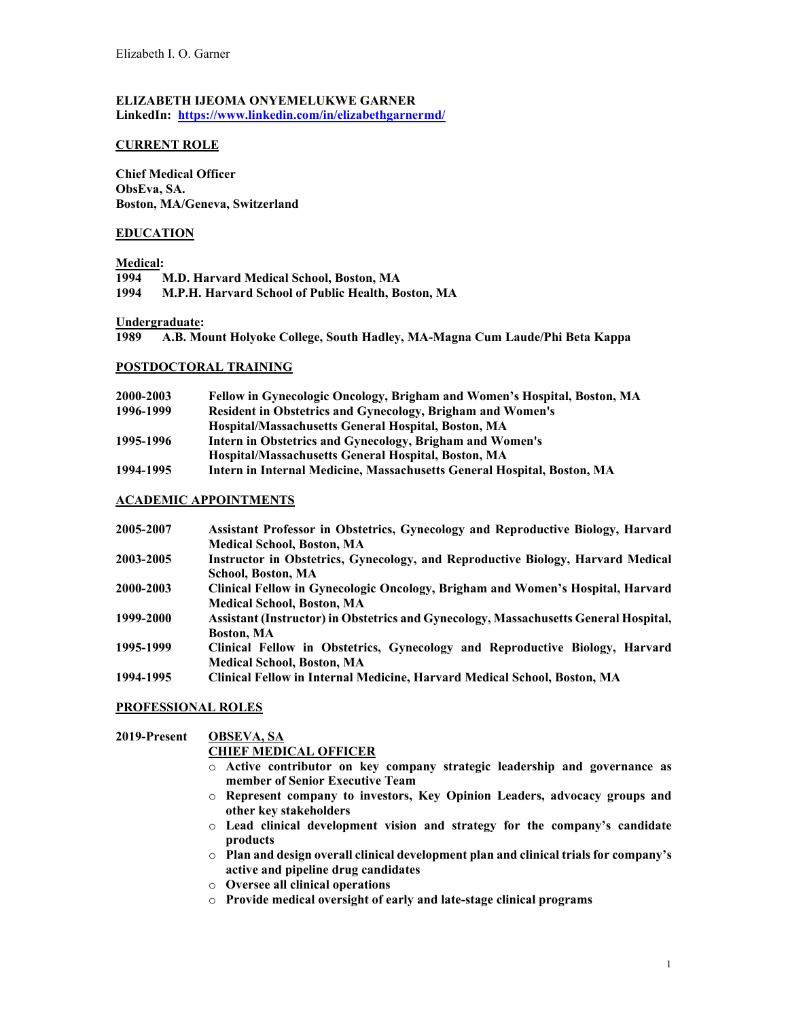# **ELIZABETH IJEOMA ONYEMELUKWE GARNER**

**LinkedIn: <https://www.linkedin.com/in/elizabethgarnermd/>**

## **CURRENT ROLE**

**Chief Medical Officer ObsEva, SA. Boston, MA/Geneva, Switzerland**

# **EDUCATION**

## **Medical:**

| <b>M.D. Harvard Medical School, Boston, MA</b>     |
|----------------------------------------------------|
| M.P.H. Harvard School of Public Health, Boston, MA |
|                                                    |

#### **Undergraduate:**

**1989 A.B. Mount Holyoke College, South Hadley, MA-Magna Cum Laude/Phi Beta Kappa**

#### **POSTDOCTORAL TRAINING**

| 2000-2003 | Fellow in Gynecologic Oncology, Brigham and Women's Hospital, Boston, MA |
|-----------|--------------------------------------------------------------------------|
| 1996-1999 | <b>Resident in Obstetrics and Gynecology, Brigham and Women's</b>        |
|           | Hospital/Massachusetts General Hospital, Boston, MA                      |
| 1995-1996 | Intern in Obstetrics and Gynecology, Brigham and Women's                 |
|           | Hospital/Massachusetts General Hospital, Boston, MA                      |
| 1994-1995 | Intern in Internal Medicine, Massachusetts General Hospital, Boston, MA  |

## **ACADEMIC APPOINTMENTS**

| 2005-2007 | Assistant Professor in Obstetrics, Gynecology and Reproductive Biology, Harvard      |
|-----------|--------------------------------------------------------------------------------------|
|           | <b>Medical School, Boston, MA</b>                                                    |
| 2003-2005 | Instructor in Obstetrics, Gynecology, and Reproductive Biology, Harvard Medical      |
|           | School, Boston, MA                                                                   |
| 2000-2003 | Clinical Fellow in Gynecologic Oncology, Brigham and Women's Hospital, Harvard       |
|           | <b>Medical School, Boston, MA</b>                                                    |
| 1999-2000 | Assistant (Instructor) in Obstetrics and Gynecology, Massachusetts General Hospital, |
|           | <b>Boston, MA</b>                                                                    |
| 1995-1999 | Clinical Fellow in Obstetrics, Gynecology and Reproductive Biology, Harvard          |
|           | <b>Medical School, Boston, MA</b>                                                    |
| 1994-1995 | Clinical Fellow in Internal Medicine, Harvard Medical School, Boston, MA             |

## **PROFESSIONAL ROLES**

# **2019-Present OBSEVA, SA**

## **CHIEF MEDICAL OFFICER**

- o **Active contributor on key company strategic leadership and governance as member of Senior Executive Team**
- o **Represent company to investors, Key Opinion Leaders, advocacy groups and other key stakeholders**
- o **Lead clinical development vision and strategy for the company's candidate products**
- o **Plan and design overall clinical development plan and clinical trials for company's active and pipeline drug candidates**
- o **Oversee all clinical operations**
- o **Provide medical oversight of early and late-stage clinical programs**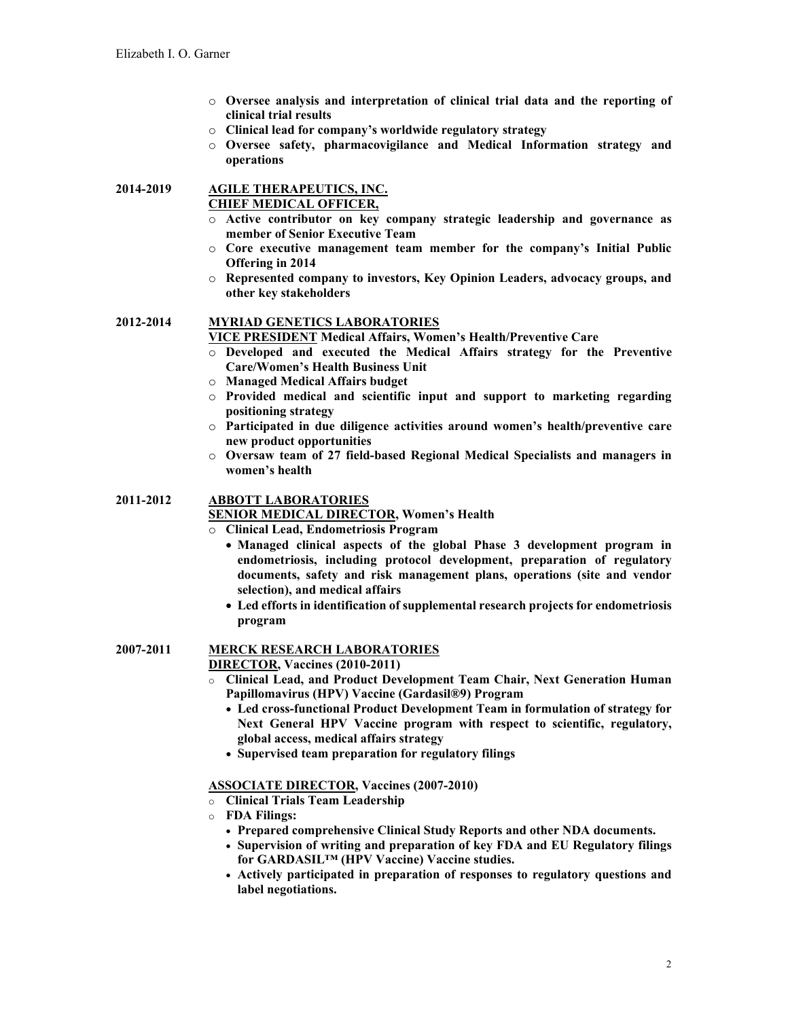- o **Oversee analysis and interpretation of clinical trial data and the reporting of clinical trial results**
- o **Clinical lead for company's worldwide regulatory strategy**
- o **Oversee safety, pharmacovigilance and Medical Information strategy and operations**

# **2014-2019 AGILE THERAPEUTICS, INC. CHIEF MEDICAL OFFICER,**

- o **Active contributor on key company strategic leadership and governance as member of Senior Executive Team**
- o **Core executive management team member for the company's Initial Public Offering in 2014**
- o **Represented company to investors, Key Opinion Leaders, advocacy groups, and other key stakeholders**

## **2012-2014 MYRIAD GENETICS LABORATORIES**

**VICE PRESIDENT Medical Affairs, Women's Health/Preventive Care**

- o **Developed and executed the Medical Affairs strategy for the Preventive Care/Women's Health Business Unit**
- o **Managed Medical Affairs budget**
- o **Provided medical and scientific input and support to marketing regarding positioning strategy**
- o **Participated in due diligence activities around women's health/preventive care new product opportunities**
- o **Oversaw team of 27 field-based Regional Medical Specialists and managers in women's health**

## **2011-2012 ABBOTT LABORATORIES**

**SENIOR MEDICAL DIRECTOR, Women's Health**

- o **Clinical Lead, Endometriosis Program**
	- **Managed clinical aspects of the global Phase 3 development program in endometriosis, including protocol development, preparation of regulatory documents, safety and risk management plans, operations (site and vendor selection), and medical affairs**
		- **Led efforts in identification of supplemental research projects for endometriosis program**

# **2007-2011 MERCK RESEARCH LABORATORIES**

**DIRECTOR, Vaccines (2010-2011)**

- o **Clinical Lead, and Product Development Team Chair, Next Generation Human Papillomavirus (HPV) Vaccine (Gardasil®9) Program**
	- **Led cross-functional Product Development Team in formulation of strategy for Next General HPV Vaccine program with respect to scientific, regulatory, global access, medical affairs strategy**
	- **Supervised team preparation for regulatory filings**

## **ASSOCIATE DIRECTOR, Vaccines (2007-2010)**

- o **Clinical Trials Team Leadership**
- o **FDA Filings:**
	- **Prepared comprehensive Clinical Study Reports and other NDA documents.**
	- **Supervision of writing and preparation of key FDA and EU Regulatory filings for GARDASIL™ (HPV Vaccine) Vaccine studies.**
	- **Actively participated in preparation of responses to regulatory questions and label negotiations.**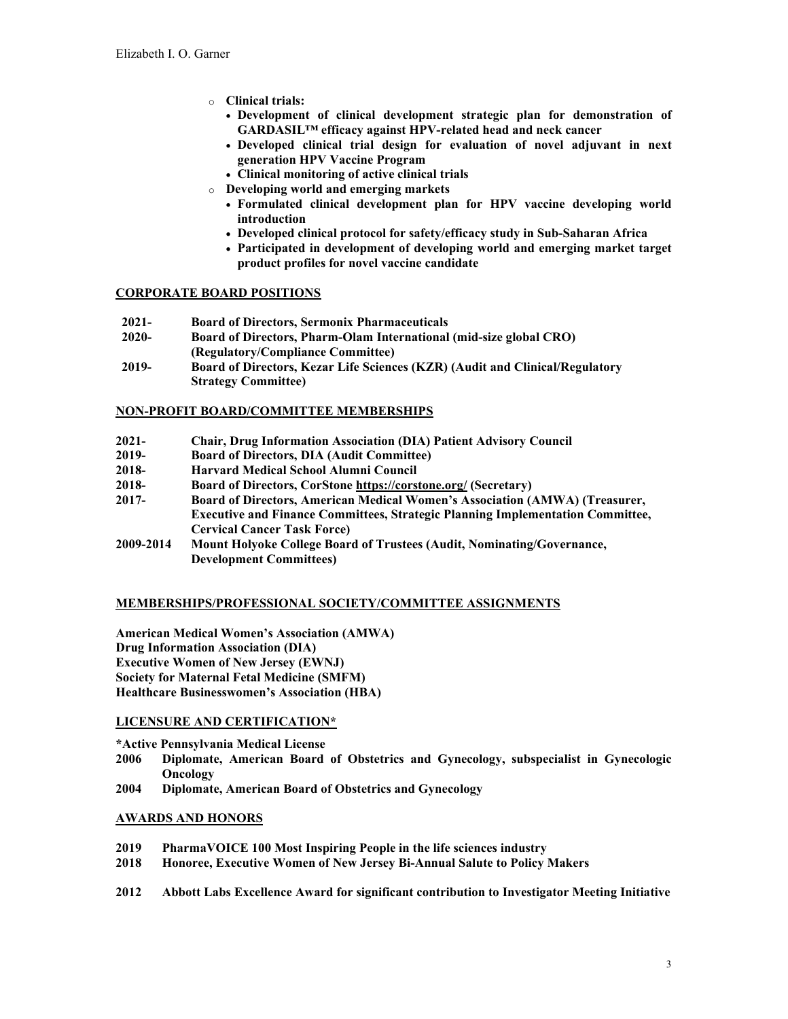- o **Clinical trials:**
	- **Development of clinical development strategic plan for demonstration of GARDASIL™ efficacy against HPV-related head and neck cancer**
	- **Developed clinical trial design for evaluation of novel adjuvant in next generation HPV Vaccine Program**
	- **Clinical monitoring of active clinical trials**
- o **Developing world and emerging markets**
	- **Formulated clinical development plan for HPV vaccine developing world introduction**
	- **Developed clinical protocol for safety/efficacy study in Sub-Saharan Africa**
	- **Participated in development of developing world and emerging market target product profiles for novel vaccine candidate**

## **CORPORATE BOARD POSITIONS**

- **2021- Board of Directors, Sermonix Pharmaceuticals**
- **2020- Board of Directors, Pharm-Olam International (mid-size global CRO) (Regulatory/Compliance Committee)**
- **2019- Board of Directors, Kezar Life Sciences (KZR) (Audit and Clinical/Regulatory Strategy Committee)**

#### **NON-PROFIT BOARD/COMMITTEE MEMBERSHIPS**

- **2021- Chair, Drug Information Association (DIA) Patient Advisory Council**
- **2019- Board of Directors, DIA (Audit Committee)**
- **2018- Harvard Medical School Alumni Council**
- **2018- Board of Directors, CorSton[e https://corstone.org/](https://corstone.org/) (Secretary)**
- **2017- Board of Directors, American Medical Women's Association (AMWA) (Treasurer, Executive and Finance Committees, Strategic Planning Implementation Committee, Cervical Cancer Task Force)**
- **2009-2014 Mount Holyoke College Board of Trustees (Audit, Nominating/Governance, Development Committees)**

## **MEMBERSHIPS/PROFESSIONAL SOCIETY/COMMITTEE ASSIGNMENTS**

**American Medical Women's Association (AMWA) Drug Information Association (DIA) Executive Women of New Jersey (EWNJ) Society for Maternal Fetal Medicine (SMFM) Healthcare Businesswomen's Association (HBA)**

## **LICENSURE AND CERTIFICATION\***

**\*Active Pennsylvania Medical License**

- **2006 Diplomate, American Board of Obstetrics and Gynecology, subspecialist in Gynecologic Oncology**
- **2004 Diplomate, American Board of Obstetrics and Gynecology**

## **AWARDS AND HONORS**

- **2019 PharmaVOICE 100 Most Inspiring People in the life sciences industry**
- **2018 Honoree, Executive Women of New Jersey Bi-Annual Salute to Policy Makers**
- **2012 Abbott Labs Excellence Award for significant contribution to Investigator Meeting Initiative**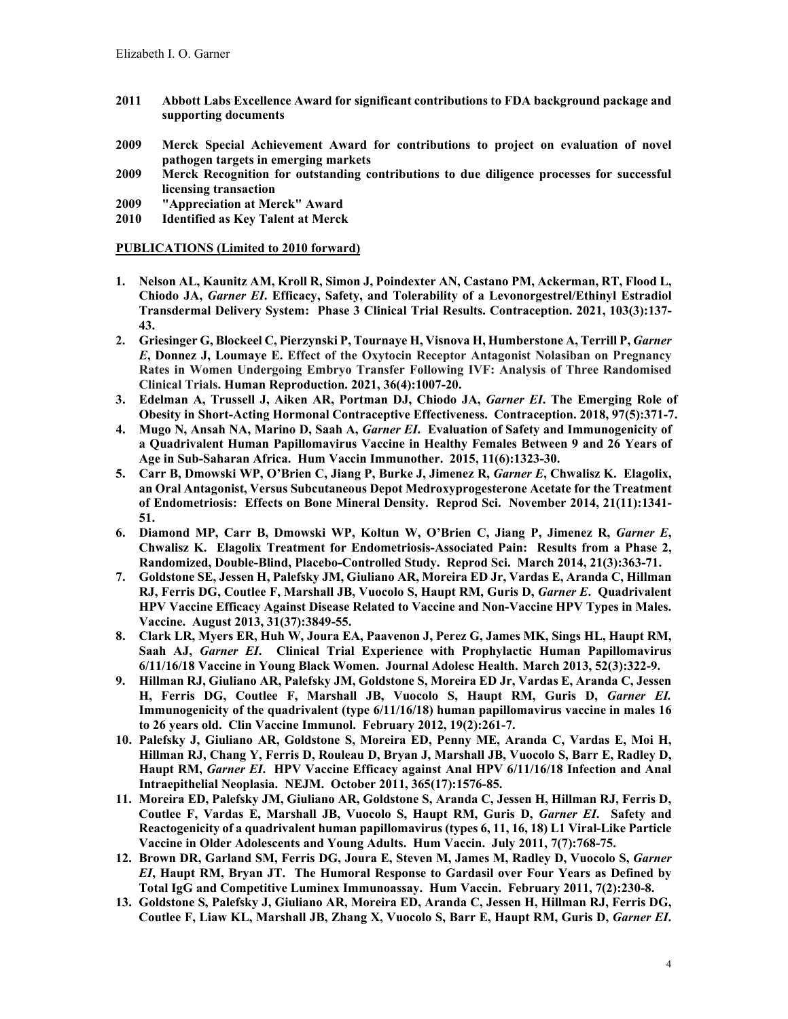- **2011 Abbott Labs Excellence Award for significant contributions to FDA background package and supporting documents**
- **2009 Merck Special Achievement Award for contributions to project on evaluation of novel pathogen targets in emerging markets**
- **2009 Merck Recognition for outstanding contributions to due diligence processes for successful licensing transaction**
- **2009 "Appreciation at Merck" Award**
- **2010 Identified as Key Talent at Merck**

#### **PUBLICATIONS (Limited to 2010 forward)**

- **1. Nelson AL, Kaunitz AM, Kroll R, Simon J, Poindexter AN, Castano PM, Ackerman, RT, Flood L, Chiodo JA,** *Garner EI***. Efficacy, Safety, and Tolerability of a Levonorgestrel/Ethinyl Estradiol Transdermal Delivery System: Phase 3 Clinical Trial Results. Contraception. 2021, 103(3):137- 43.**
- 2. Griesinger G, Blockeel C, Pierzynski P, Tournaye H, Visnova H, Humberstone A, Terrill P, *Garner E***, Donnez J, Loumaye E. Effect of the Oxytocin Receptor Antagonist Nolasiban on Pregnancy Rates in Women Undergoing Embryo Transfer Following IVF: Analysis of Three Randomised Clinical Trials. Human Reproduction. 2021, 36(4):1007-20.**
- **3. Edelman A, Trussell J, Aiken AR, Portman DJ, Chiodo JA,** *Garner EI***. The Emerging Role of Obesity in Short-Acting Hormonal Contraceptive Effectiveness. Contraception. 2018, 97(5):371-7.**
- **4. Mugo N, Ansah NA, Marino D, Saah A,** *Garner EI***. Evaluation of Safety and Immunogenicity of a Quadrivalent Human Papillomavirus Vaccine in Healthy Females Between 9 and 26 Years of Age in Sub-Saharan Africa. Hum Vaccin Immunother. 2015, 11(6):1323-30.**
- **5. Carr B, Dmowski WP, O'Brien C, Jiang P, Burke J, Jimenez R,** *Garner E***, Chwalisz K. Elagolix, an Oral Antagonist, Versus Subcutaneous Depot Medroxyprogesterone Acetate for the Treatment of Endometriosis: Effects on Bone Mineral Density. Reprod Sci. November 2014, 21(11):1341- 51.**
- **6. Diamond MP, Carr B, Dmowski WP, Koltun W, O'Brien C, Jiang P, Jimenez R,** *Garner E***, Chwalisz K. Elagolix Treatment for Endometriosis-Associated Pain: Results from a Phase 2, Randomized, Double-Blind, Placebo-Controlled Study. Reprod Sci. March 2014, 21(3):363-71.**
- **7. Goldstone SE, Jessen H, Palefsky JM, Giuliano AR, Moreira ED Jr, Vardas E, Aranda C, Hillman RJ, Ferris DG, Coutlee F, Marshall JB, Vuocolo S, Haupt RM, Guris D,** *Garner E***. Quadrivalent HPV Vaccine Efficacy Against Disease Related to Vaccine and Non-Vaccine HPV Types in Males. Vaccine. August 2013, 31(37):3849-55.**
- **8. Clark LR, Myers ER, Huh W, Joura EA, Paavenon J, Perez G, James MK, Sings HL, Haupt RM, Saah AJ,** *Garner EI***. Clinical Trial Experience with Prophylactic Human Papillomavirus 6/11/16/18 Vaccine in Young Black Women. Journal Adolesc Health. March 2013, 52(3):322-9.**
- **9. Hillman RJ, Giuliano AR, Palefsky JM, Goldstone S, Moreira ED Jr, Vardas E, Aranda C, Jessen H, Ferris DG, Coutlee F, Marshall JB, Vuocolo S, Haupt RM, Guris D,** *Garner EI.* **Immunogenicity of the quadrivalent (type 6/11/16/18) human papillomavirus vaccine in males 16 to 26 years old. Clin Vaccine Immunol. February 2012, 19(2):261-7.**
- **10. Palefsky J, Giuliano AR, Goldstone S, Moreira ED, Penny ME, Aranda C, Vardas E, Moi H, Hillman RJ, Chang Y, Ferris D, Rouleau D, Bryan J, Marshall JB, Vuocolo S, Barr E, Radley D, Haupt RM,** *Garner EI***. HPV Vaccine Efficacy against Anal HPV 6/11/16/18 Infection and Anal Intraepithelial Neoplasia. NEJM. October 2011, 365(17):1576-85.**
- **11. Moreira ED, Palefsky JM, Giuliano AR, Goldstone S, Aranda C, Jessen H, Hillman RJ, Ferris D, Coutlee F, Vardas E, Marshall JB, Vuocolo S, Haupt RM, Guris D,** *Garner EI***. Safety and Reactogenicity of a quadrivalent human papillomavirus (types 6, 11, 16, 18) L1 Viral-Like Particle Vaccine in Older Adolescents and Young Adults. Hum Vaccin. July 2011, 7(7):768-75.**
- **12. Brown DR, Garland SM, Ferris DG, Joura E, Steven M, James M, Radley D, Vuocolo S,** *Garner EI***, Haupt RM, Bryan JT. The Humoral Response to Gardasil over Four Years as Defined by Total IgG and Competitive Luminex Immunoassay. Hum Vaccin. February 2011, 7(2):230-8.**
- **13. Goldstone S, Palefsky J, Giuliano AR, Moreira ED, Aranda C, Jessen H, Hillman RJ, Ferris DG, Coutlee F, Liaw KL, Marshall JB, Zhang X, Vuocolo S, Barr E, Haupt RM, Guris D,** *Garner EI***.**